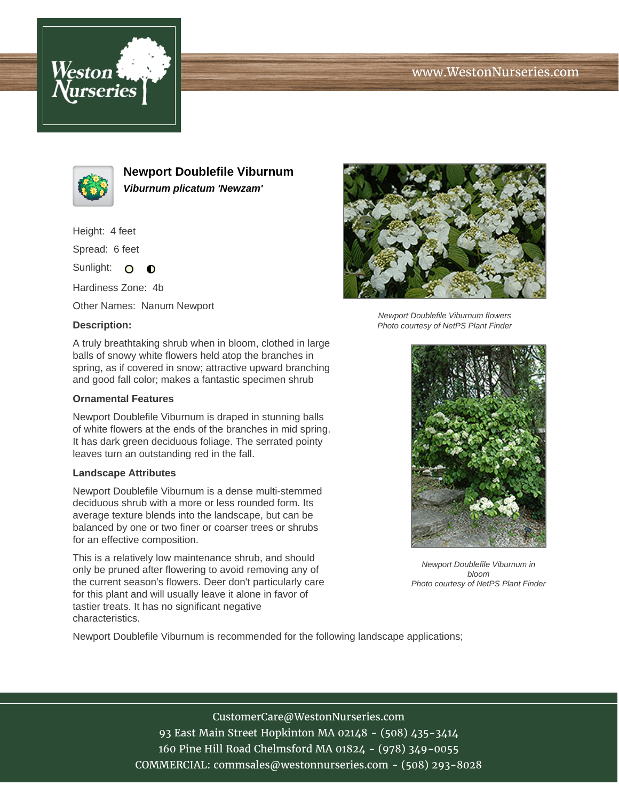





**Newport Doublefile Viburnum Viburnum plicatum 'Newzam'**

Height: 4 feet

Spread: 6 feet

Sunlight: O  $\bullet$ 

Hardiness Zone: 4b

Other Names: Nanum Newport

## **Description:**

A truly breathtaking shrub when in bloom, clothed in large balls of snowy white flowers held atop the branches in spring, as if covered in snow; attractive upward branching and good fall color; makes a fantastic specimen shrub

## **Ornamental Features**

Newport Doublefile Viburnum is draped in stunning balls of white flowers at the ends of the branches in mid spring. It has dark green deciduous foliage. The serrated pointy leaves turn an outstanding red in the fall.

## **Landscape Attributes**

Newport Doublefile Viburnum is a dense multi-stemmed deciduous shrub with a more or less rounded form. Its average texture blends into the landscape, but can be balanced by one or two finer or coarser trees or shrubs for an effective composition.

This is a relatively low maintenance shrub, and should only be pruned after flowering to avoid removing any of the current season's flowers. Deer don't particularly care for this plant and will usually leave it alone in favor of tastier treats. It has no significant negative characteristics.



Newport Doublefile Viburnum flowers Photo courtesy of NetPS Plant Finder



Newport Doublefile Viburnum in bloom Photo courtesy of NetPS Plant Finder

Newport Doublefile Viburnum is recommended for the following landscape applications;

CustomerCare@WestonNurseries.com 93 East Main Street Hopkinton MA 02148 - (508) 435-3414 160 Pine Hill Road Chelmsford MA 01824 - (978) 349-0055 COMMERCIAL: commsales@westonnurseries.com - (508) 293-8028